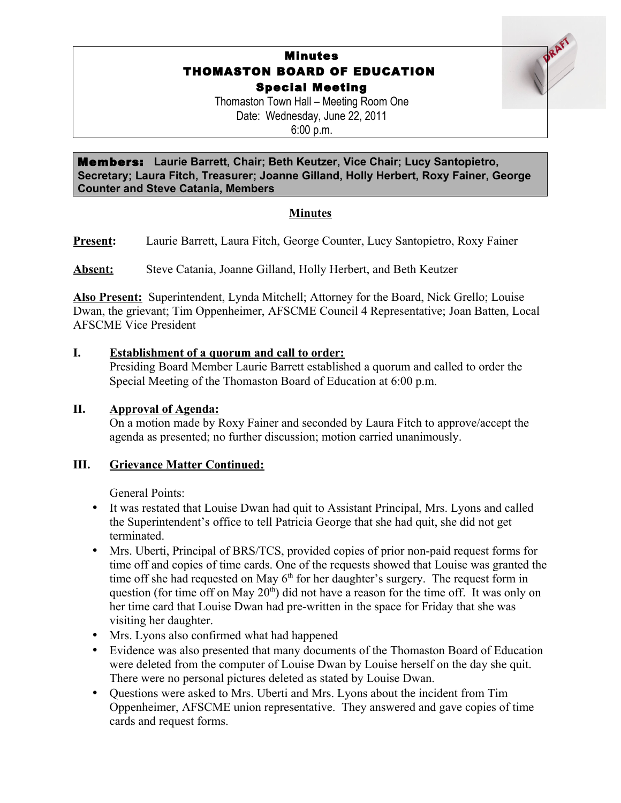# Minutes THOMASTON BOARD OF EDUCATION Special Meeting

Thomaston Town Hall – Meeting Room One Date: Wednesday, June 22, 2011 6:00 p.m.

Members: **Laurie Barrett, Chair; Beth Keutzer, Vice Chair; Lucy Santopietro, Secretary; Laura Fitch, Treasurer; Joanne Gilland, Holly Herbert, Roxy Fainer, George Counter and Steve Catania, Members**

## **Minutes**

**Present:** Laurie Barrett, Laura Fitch, George Counter, Lucy Santopietro, Roxy Fainer

**Absent:** Steve Catania, Joanne Gilland, Holly Herbert, and Beth Keutzer

**Also Present:** Superintendent, Lynda Mitchell; Attorney for the Board, Nick Grello; Louise Dwan, the grievant; Tim Oppenheimer, AFSCME Council 4 Representative; Joan Batten, Local AFSCME Vice President

### **I. Establishment of a quorum and call to order:**

Presiding Board Member Laurie Barrett established a quorum and called to order the Special Meeting of the Thomaston Board of Education at 6:00 p.m.

### **II. Approval of Agenda:**

On a motion made by Roxy Fainer and seconded by Laura Fitch to approve/accept the agenda as presented; no further discussion; motion carried unanimously.

### **III. Grievance Matter Continued:**

General Points:

- It was restated that Louise Dwan had quit to Assistant Principal, Mrs. Lyons and called the Superintendent's office to tell Patricia George that she had quit, she did not get terminated.
- Mrs. Uberti, Principal of BRS/TCS, provided copies of prior non-paid request forms for time off and copies of time cards. One of the requests showed that Louise was granted the time off she had requested on May  $6<sup>th</sup>$  for her daughter's surgery. The request form in question (for time off on May  $20<sup>th</sup>$ ) did not have a reason for the time off. It was only on her time card that Louise Dwan had pre-written in the space for Friday that she was visiting her daughter.
- Mrs. Lyons also confirmed what had happened
- Evidence was also presented that many documents of the Thomaston Board of Education were deleted from the computer of Louise Dwan by Louise herself on the day she quit. There were no personal pictures deleted as stated by Louise Dwan.
- Questions were asked to Mrs. Uberti and Mrs. Lyons about the incident from Tim Oppenheimer, AFSCME union representative. They answered and gave copies of time cards and request forms.